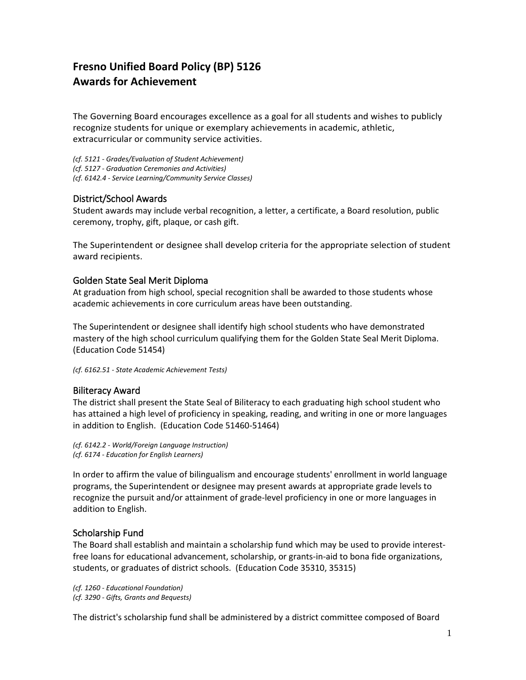# **Fresno Unified Board Policy (BP) 5126 Awards for Achievement**

The Governing Board encourages excellence as a goal for all students and wishes to publicly recognize students for unique or exemplary achievements in academic, athletic, extracurricular or community service activities.

*(cf. 5121 - Grades/Evaluation of Student Achievement) (cf. 5127 - Graduation Ceremonies and Activities) (cf. 6142.4 - Service Learning/Community Service Classes)*

### District/School Awards

Student awards may include verbal recognition, a letter, a certificate, a Board resolution, public ceremony, trophy, gift, plaque, or cash gift.

The Superintendent or designee shall develop criteria for the appropriate selection of student award recipients.

### Golden State Seal Merit Diploma

At graduation from high school, special recognition shall be awarded to those students whose academic achievements in core curriculum areas have been outstanding.

The Superintendent or designee shall identify high school students who have demonstrated mastery of the high school curriculum qualifying them for the Golden State Seal Merit Diploma. (Education Code 51454)

*(cf. 6162.51 - State Academic Achievement Tests)*

#### Biliteracy Award

The district shall present the State Seal of Biliteracy to each graduating high school student who has attained a high level of proficiency in speaking, reading, and writing in one or more languages in addition to English. (Education Code 51460-51464)

*(cf. 6142.2 - World/Foreign Language Instruction) (cf. 6174 - Education for English Learners)*

In order to affirm the value of bilingualism and encourage students' enrollment in world language programs, the Superintendent or designee may present awards at appropriate grade levels to recognize the pursuit and/or attainment of grade-level proficiency in one or more languages in addition to English.

## Scholarship Fund

The Board shall establish and maintain a scholarship fund which may be used to provide interestfree loans for educational advancement, scholarship, or grants-in-aid to bona fide organizations, students, or graduates of district schools. (Education Code 35310, 35315)

*(cf. 1260 - Educational Foundation) (cf. 3290 - Gifts, Grants and Bequests)*

The district's scholarship fund shall be administered by a district committee composed of Board